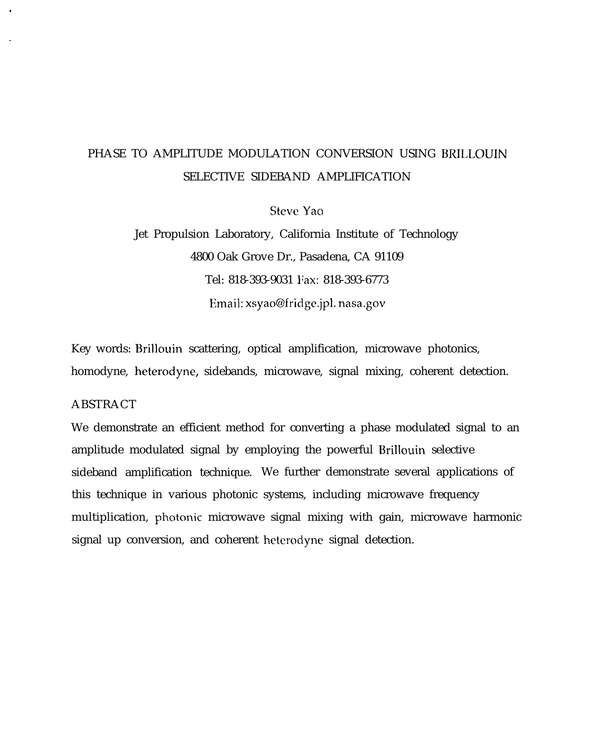# PHASE TO AMPLITUDE MODULATION CONVERSION USING BRILLOUIN SELECTIVE SIDEBAND AMPLIFICATION

Steve Yao

Jet Propulsion Laboratory, California Institute of Technology 4800 Oak Grove Dr., Pasadena, CA 91109 Tel: 818-393-9031 Fax: 818-393-6773 Email: xsyao@fridge.jpl. nasa.gov

Key words: Brillouin scattering, optical amplification, microwave photonics, homodyne, heterodyne, sidebands, microwave, signal mixing, coherent detection.

## ABSTRACT

We demonstrate an efficient method for converting a phase modulated signal to an amplitude modulated signal by employing the powerful Brillouin selective sideband amplification technique. We further demonstrate several applications of this technique in various photonic systems, including microwave frequency multiplication, photonic microwave signal mixing with gain, microwave harmonic signal up conversion, and coherent heterodyne signal detection.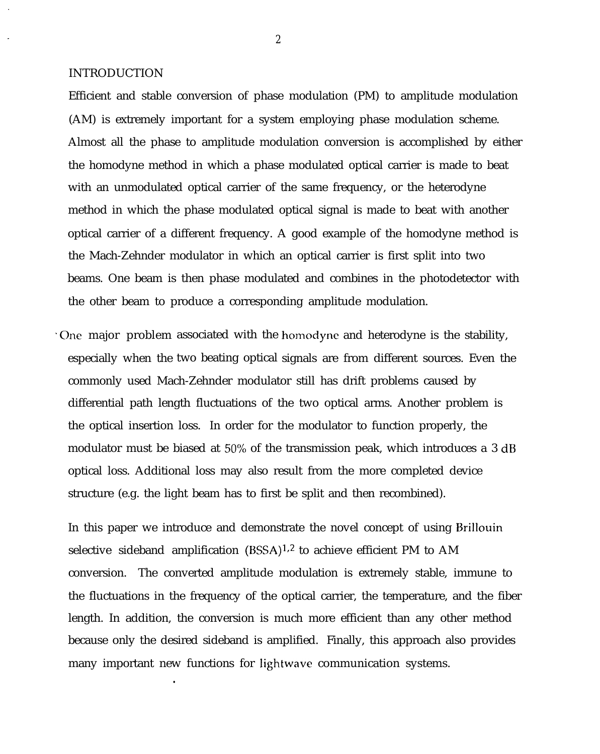#### INTRODUCTION

Efficient and stable conversion of phase modulation (PM) to amplitude modulation (AM) is extremely important for a system employing phase modulation scheme. Almost all the phase to amplitude modulation conversion is accomplished by either the homodyne method in which a phase modulated optical carrier is made to beat with an unmodulated optical carrier of the same frequency, or the heterodyne method in which the phase modulated optical signal is made to beat with another optical carrier of a different frequency. A good example of the homodyne method is the Mach-Zehnder modulator in which an optical carrier is first split into two beams. One beam is then phase modulated and combines in the photodetector with the other beam to produce a corresponding amplitude modulation.

<sup>~</sup> One major problem associated with the homoctyne and heterodyne is the stability, especially when the two beating optical signals are from different sources. Even the commonly used Mach-Zehnder modulator still has drift problems caused by differential path length fluctuations of the two optical arms. Another problem is the optical insertion loss. In order for the modulator to function properly, the modulator must be biased at  $50\%$  of the transmission peak, which introduces a 3 dB optical loss. Additional loss may also result from the more completed device structure (e.g. the light beam has to first be split and then recombined).

In this paper we introduce and demonstrate the novel concept of using Brillouin selective sideband amplification  $(BSSA)^{1,2}$  to achieve efficient PM to AM conversion. The converted amplitude modulation is extremely stable, immune to the fluctuations in the frequency of the optical carrier, the temperature, and the fiber length. In addition, the conversion is much more efficient than any other method because only the desired sideband is amplified. Finally, this approach also provides many important new functions for lightwave communication systems.

●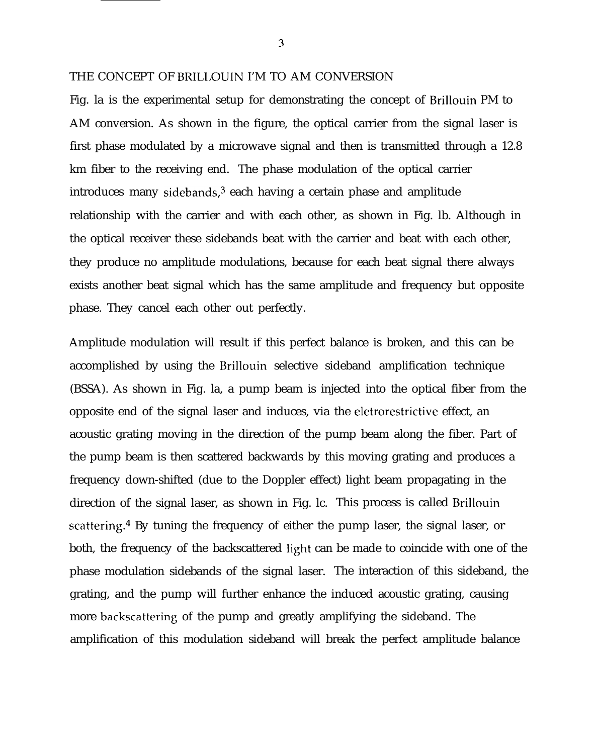#### THE CONCEPT OF BRILLOUIN I'M TO AM CONVERSION

Fig. la is the experimental setup for demonstrating the concept of Brillouin PM to AM conversion. As shown in the figure, the optical carrier from the signal laser is first phase modulated by a microwave signal and then is transmitted through a 12.8 km fiber to the receiving end. The phase modulation of the optical carrier introduces many sidebands, $3$  each having a certain phase and amplitude relationship with the carrier and with each other, as shown in Fig. lb. Although in the optical receiver these sidebands beat with the carrier and beat with each other, they produce no amplitude modulations, because for each beat signal there always exists another beat signal which has the same amplitude and frequency but opposite phase. They cancel each other out perfectly.

Amplitude modulation will result if this perfect balance is broken, and this can be accomplished by using the Brillouin selective sideband amplification technique (BSSA). As shown in Fig. la, a pump beam is injected into the optical fiber from the opposite end of the signal laser and induces, via the eletrorestrictive effect, an acoustic grating moving in the direction of the pump beam along the fiber. Part of the pump beam is then scattered backwards by this moving grating and produces a frequency down-shifted (due to the Doppler effect) light beam propagating in the direction of the signal laser, as shown in Fig. lc. This process is called Brillouin scattering.<sup>4</sup> By tuning the frequency of either the pump laser, the signal laser, or both, the frequency of the backscattered light can be made to coincide with one of the phase modulation sidebands of the signal laser. The interaction of this sideband, the grating, and the pump will further enhance the induced acoustic grating, causing more backscattering of the pump and greatly amplifying the sideband. The amplification of this modulation sideband will break the perfect amplitude balance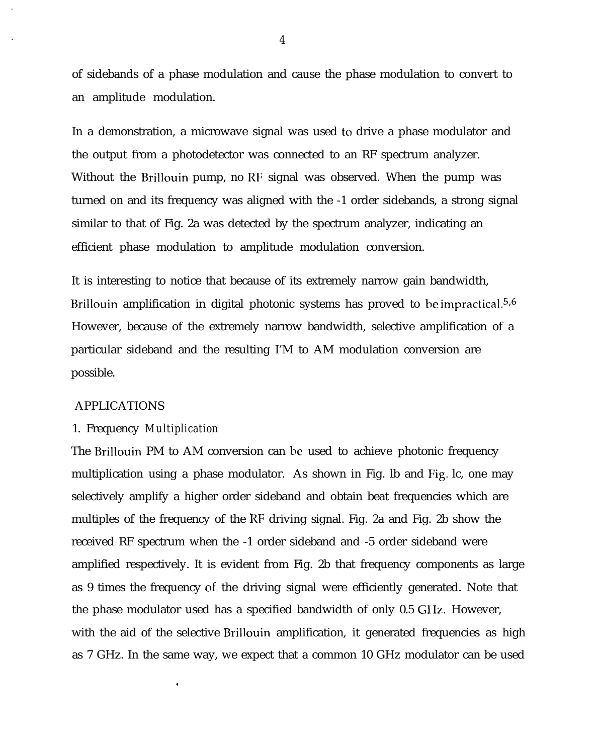of sidebands of a phase modulation and cause the phase modulation to convert to an amplitude modulation.

In a demonstration, a microwave signal was used to drive a phase modulator and the output from a photodetector was connected to an RF spectrum analyzer. Without the Brillouin pump, no RF signal was observed. When the pump was turned on and its frequency was aligned with the -1 order sidebands, a strong signal similar to that of Fig. 2a was detected by the spectrum analyzer, indicating an efficient phase modulation to amplitude modulation conversion.

It is interesting to notice that because of its extremely narrow gain bandwidth, Brillouin amplification in digital photonic systems has proved to be impractical.<sup>5,6</sup> However, because of the extremely narrow bandwidth, selective amplification of a particular sideband and the resulting I'M to AM modulation conversion are possible.

#### APPLICATIONS

#### 1. Frequency *Multiplication*

The Brillouin PM to AM conversion can be used to achieve photonic frequency multiplication using a phase modulator. As shown in Fig. lb and Fig. lc, one may selectively amplify a higher order sideband and obtain beat frequencies which are multiples of the frequency of the I{F driving signal. Fig. 2a and Fig. 2b show the received RF spectrum when the -1 order sideband and -5 order sideband were amplified respectively. It is evident from Fig. 2b that frequency components as large as 9 times the frequency of the driving signal were efficiently generated. Note that the phase modulator used has a specified bandwidth of only 0.5 GHz. However, with the aid of the selective Brillouin amplification, it generated frequencies as high as 7 GHz. In the same way, we expect that a common 10 GHz modulator can be used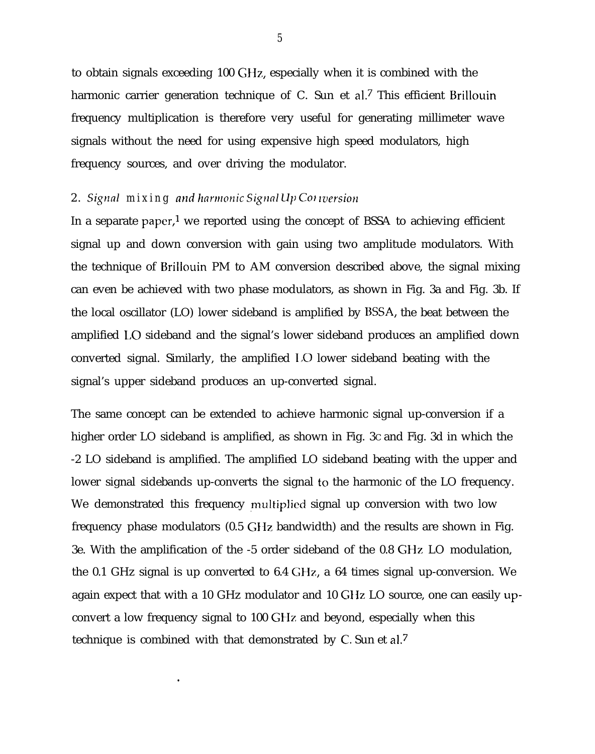to obtain signals exceeding 100 GHz, especially when it is combined with the harmonic carrier generation technique of C. Sun et al.<sup>7</sup> This efficient Brillouin frequency multiplication is therefore very useful for generating millimeter wave signals without the need for using expensive high speed modulators, high frequency sources, and over driving the modulator.

## 2. *Signal mixing and harmonic Signal Up Colversion*

●

In a separate paper,<sup>1</sup> we reported using the concept of BSSA to achieving efficient signal up and down conversion with gain using two amplitude modulators. With the technique of Brillouin PM to AM conversion described above, the signal mixing can even be achieved with two phase modulators, as shown in Fig. 3a and Fig. 3b. If the local oscillator (LO) lower sideband is amplified by BSSA, the beat between the amplified LO sideband and the signal's lower sideband produces an amplified down converted signal. Similarly, the amplified 1,0 lower sideband beating with the signal's upper sideband produces an up-converted signal.

The same concept can be extended to achieve harmonic signal up-conversion if a higher order LO sideband is amplified, as shown in Fig. 3C and Fig. 3d in which the -2 LO sideband is amplified. The amplified LO sideband beating with the upper and lower signal sidebands up-converts the signal to the harmonic of the LO frequency. We demonstrated this frequency multiplied signal up conversion with two low frequency phase modulators (0.5 GHz bandwidth) and the results are shown in Fig. 3e. With the amplification of the -5 order sideband of the 0.8 GHz LO modulation, the 0.1 GHz signal is up converted to 6.4 GHz, a 64 times signal up-conversion. We again expect that with a 10 GHz modulator and 10 GIIz LO source, one can easily upconvert a low frequency signal to 100 GHz and beyond, especially when this technique is combined with that demonstrated by C. Sun et al.<sup>7</sup>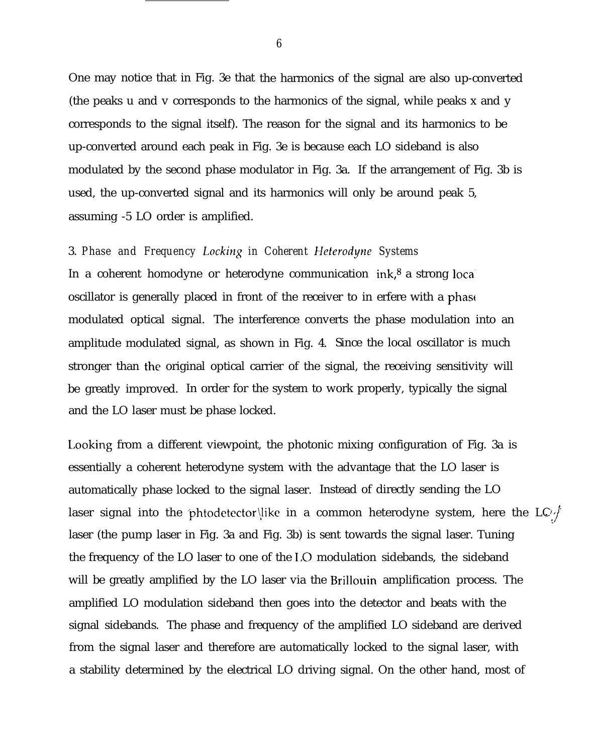One may notice that in Fig. 3e that the harmonics of the signal are also up-converted (the peaks u and v corresponds to the harmonics of the signal, while peaks x and y corresponds to the signal itself). The reason for the signal and its harmonics to be up-converted around each peak in Fig. 3e is because each LO sideband is also modulated by the second phase modulator in Fig. 3a. If the arrangement of Fig. 3b is used, the up-converted signal and its harmonics will only be around peak 5, assuming -5 LO order is amplified.

# 3. *Phase and Frequency Locking in Coherent Heterodyne Systems*

In a coherent homodyne or heterodyne communication ink,<sup>8</sup> a strong local oscillator is generally placed in front of the receiver to in erfere with a phase modulated optical signal. The interference converts the phase modulation into an amplitude modulated signal, as shown in Fig. 4. Since the local oscillator is much stronger than the original optical carrier of the signal, the receiving sensitivity will be greatly improved. In order for the system to work properly, typically the signal and the LO laser must be phase locked.

Looking from a different viewpoint, the photonic mixing configuration of Fig. 3a is essentially a coherent heterodyne system with the advantage that the LO laser is automatically phase locked to the signal laser. Instead of directly sending the LO laser signal into the 'phtodetector\}ike in a common heterodyne system, here the LO ' J ..7. laser (the pump laser in Fig. 3a and Fig. 3b) is sent towards the signal laser. Tuning the frequency of the LO laser to one of the 1,0 modulation sidebands, the sideband will be greatly amplified by the LO laser via the Brillouin amplification process. The amplified LO modulation sideband then goes into the detector and beats with the signal sidebands. The phase and frequency of the amplified LO sideband are derived from the signal laser and therefore are automatically locked to the signal laser, with a stability determined by the electrical LO driving signal. On the other hand, most of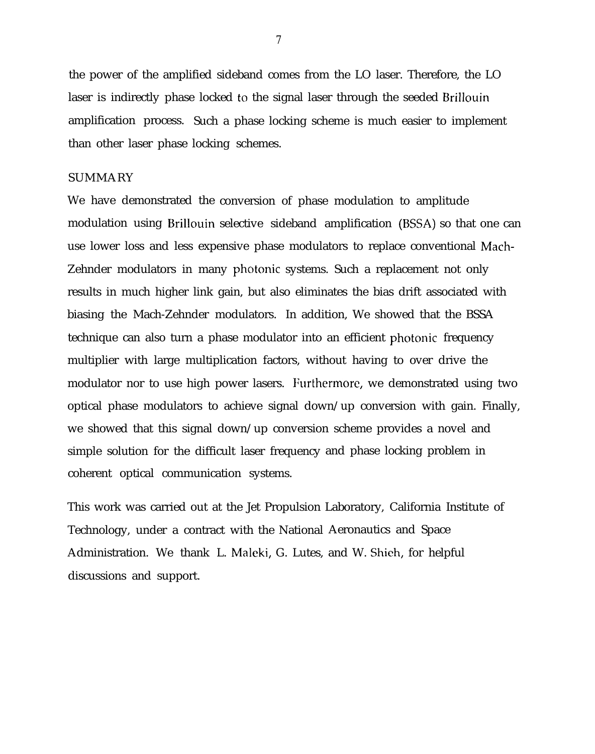the power of the amplified sideband comes from the LO laser. Therefore, the LO laser is indirectly phase locked to the signal laser through the seeded Brillouin amplification process. Such a phase locking scheme is much easier to implement than other laser phase locking schemes.

## SUMMARY

We have demonstrated the conversion of phase modulation to amplitude modulation using Brillouin selective sideband amplification (BSSA) so that one can use lower loss and less expensive phase modulators to replace conventional Mach-Zehnder modulators in many photonic systems. Such a replacement not only results in much higher link gain, but also eliminates the bias drift associated with biasing the Mach-Zehnder modulators. In addition, We showed that the BSSA technique can also turn a phase modulator into an efficient photonic frequency multiplier with large multiplication factors, without having to over drive the modulator nor to use high power lasers. Furthermore, we demonstrated using two optical phase modulators to achieve signal down/up conversion with gain. Finally, we showed that this signal down/up conversion scheme provides a novel and simple solution for the difficult laser frequency and phase locking problem in coherent optical communication systems.

This work was carried out at the Jet Propulsion Laboratory, California Institute of Technology, under a contract with the National Aeronautics and Space Administration. We thank L. Maleki, G. Lutes, and W. Shieh, for helpfuldiscussions and support.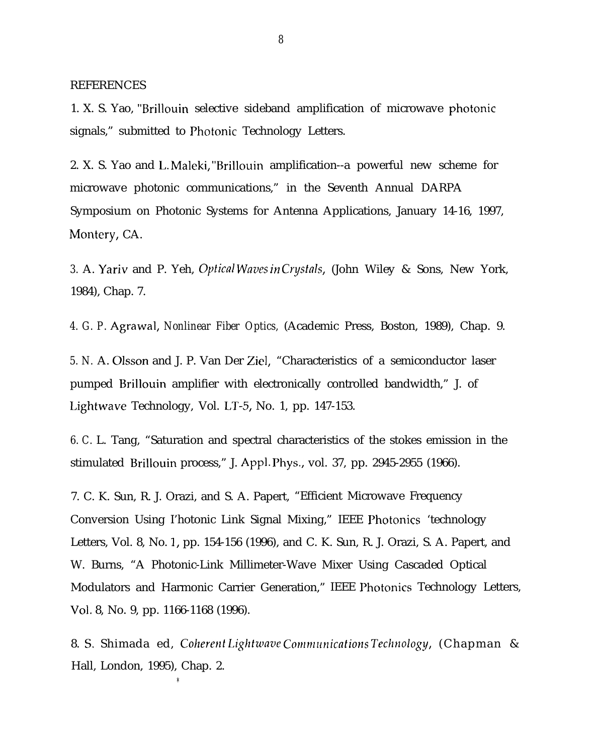REFERENCES

1. X. S. Yao, "Brillouin selective sideband amplification of microwave photonic signals," submitted to Photonic Technology Letters.

2. X. S. Yao and 1,. Maleki, "Brillouin amplification--a powerful new scheme for microwave photonic communications," in the Seventh Annual DARPA Symposium on Photonic Systems for Antenna Applications, January 14-16, 1997, Montery, CA.

3. A. Yariv and P. Yeh, *Optical Waves in Crystals*, (John Wiley & Sons, New York, 1984), Chap. 7.

*4. G. P.* Agrawal, *Nonlinear Fiber Optics,* (Academic Press, Boston, 1989), Chap. 9.

*5. N.* A. Olsson and J. P. Van Der Ziel, "Characteristics of a semiconductor laser pumped Brillouin amplifier with electronically controlled bandwidth," J. of Lightwave Technology, Vol. LT-5, No. 1, pp. 147-153.

*6. C.* L. Tang, "Saturation and spectral characteristics of the stokes emission in the stimulated Brillouin process," J. Appl. Phys., vol. 37, pp. 2945-2955 (1966).

7. C. K. Sun, R. J. Orazi, and S. A. Papert, "Efficient Microwave Frequency Conversion Using I'hotonic Link Signal Mixing," IEEE Photonics 'technology Letters, Vol. 8, No. 1, pp. 154-156 (1996), and C. K. Sun, R. J. Orazi, S. A. Papert, and W. Burns, "A Photonic-Link Millimeter-Wave Mixer Using Cascaded Optical Modulators and Harmonic Carrier Generation," IEEE Photonics Technology Letters, Vol. 8, No. 9, pp. 1166-1168 (1996).

8. S. Shimada ed, *Coherent Lightwave Communications Technology*, (Chapman & Hall, London, 1995), Chap. 2.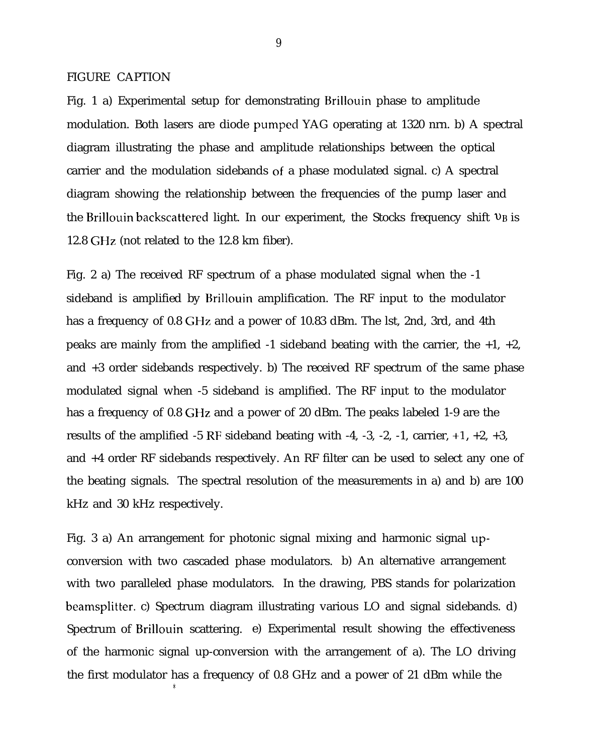FIGURE CAPTION

Fig. 1 a) Experimental setup for demonstrating Brillouin phase to amplitude modulation. Both lasers are diode pumpecl YAG operating at 1320 nrn. b) A spectral diagram illustrating the phase and amplitude relationships between the optical carrier and the modulation sidebands of a phase modulated signal. c) A spectral diagram showing the relationship between the frequencies of the pump laser and the Brillouin backscattered light. In our experiment, the Stocks frequency shift  $v_B$  is 12.8 GHz (not related to the 12.8 km fiber).

Fig. 2 a) The received RF spectrum of a phase modulated signal when the -1 sideband is amplified by Brillouin amplification. The RF input to the modulator has a frequency of 0.8 GHz and a power of 10.83 dBm. The lst, 2nd, 3rd, and 4th peaks are mainly from the amplified  $-1$  sideband beating with the carrier, the  $+1$ ,  $+2$ , and +3 order sidebands respectively. b) The received RF spectrum of the same phase modulated signal when -5 sideband is amplified. The RF input to the modulator has a frequency of 0.8 GHz and a power of 20 dBm. The peaks labeled 1-9 are the results of the amplified -5 RF sideband beating with -4, -3, -2, -1, carrier,  $+1$ ,  $+2$ ,  $+3$ , and +4 order RF sidebands respectively. An RF filter can be used to select any one of the beating signals. The spectral resolution of the measurements in a) and b) are 100 kHz and 30 kHz respectively.

Fig. 3 a) An arrangement for photonic signal mixing and harmonic signal upconversion with two cascaded phase modulators. b) An alternative arrangement with two paralleled phase modulators. In the drawing, PBS stands for polarization beamsplitter. c) Spectrum diagram illustrating various LO and signal sidebands. d) Spectrum of Brillouin scattering. e) Experimental result showing the effectiveness of the harmonic signal up-conversion with the arrangement of a). The LO driving the first modulator has a frequency of 0.8 GHz and a power of 21 dBm while the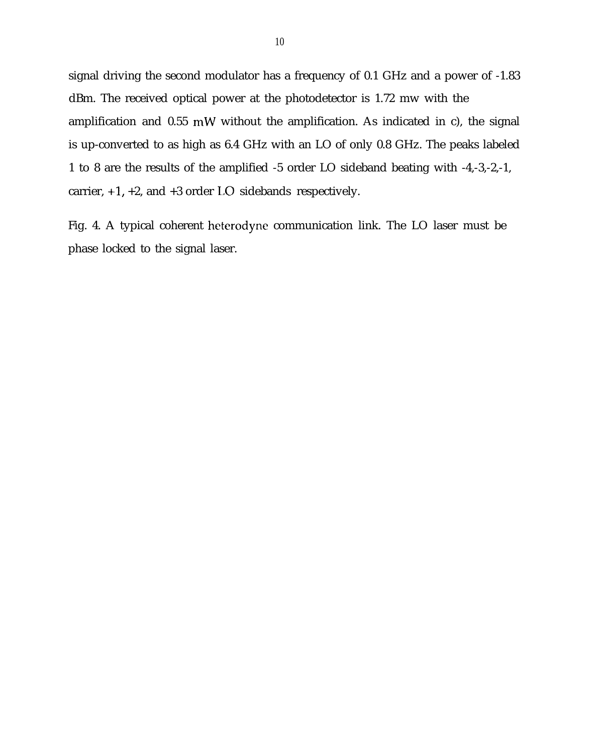signal driving the second modulator has a frequency of 0.1 GHz and a power of -1.83 dBm. The received optical power at the photodetector is 1.72 mw with the amplification and 0.55 mW without the amplification. As indicated in c), the signal is up-converted to as high as 6.4 GHz with an LO of only 0.8 GHz. The peaks labeled 1 to 8 are the results of the amplified -5 order LO sideband beating with -4,-3,-2,-1, carrier, +1, +2, and +3 order LO sidebands respectively.

Fig. 4. A typical coherent heterodyne communication link. The LO laser must be phase locked to the signal laser.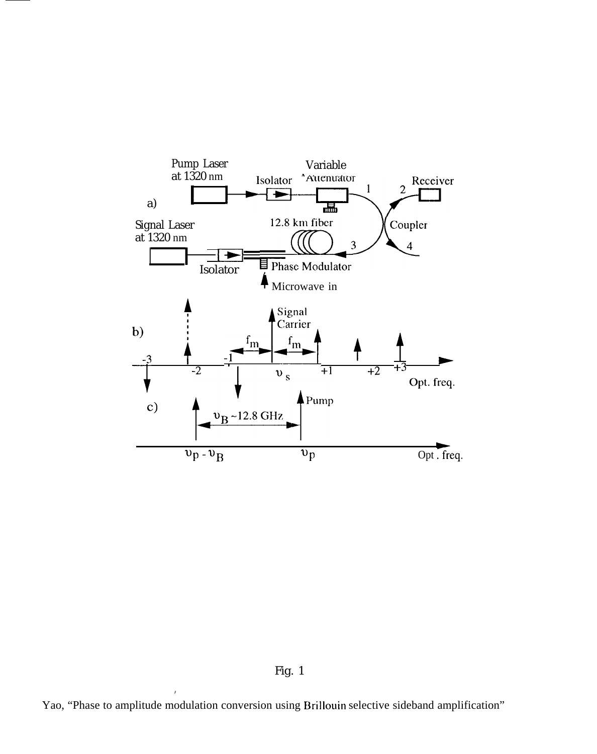

Fig. 1

Yao, "Phase to amplitude modulation conversion using Brillouin selective sideband amplification"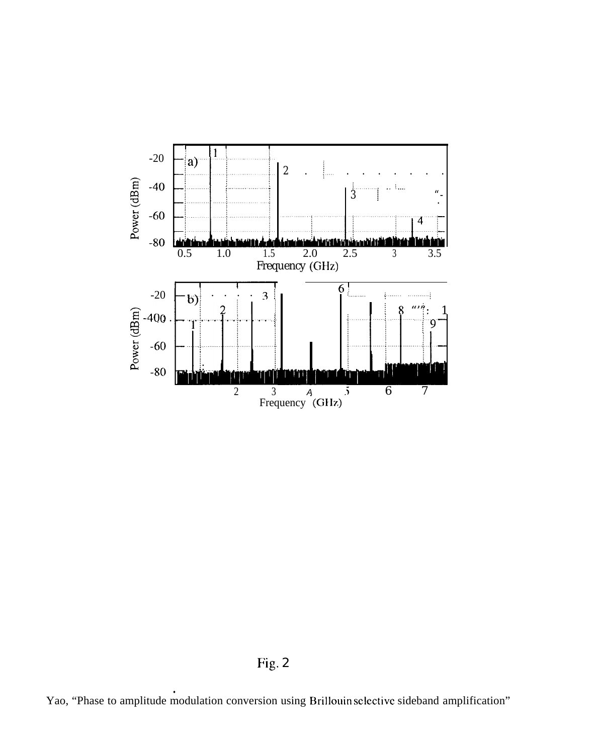

Fig. 2

Yao, "Phase to amplitude modulation conversion using Brillouin selective sideband amplification"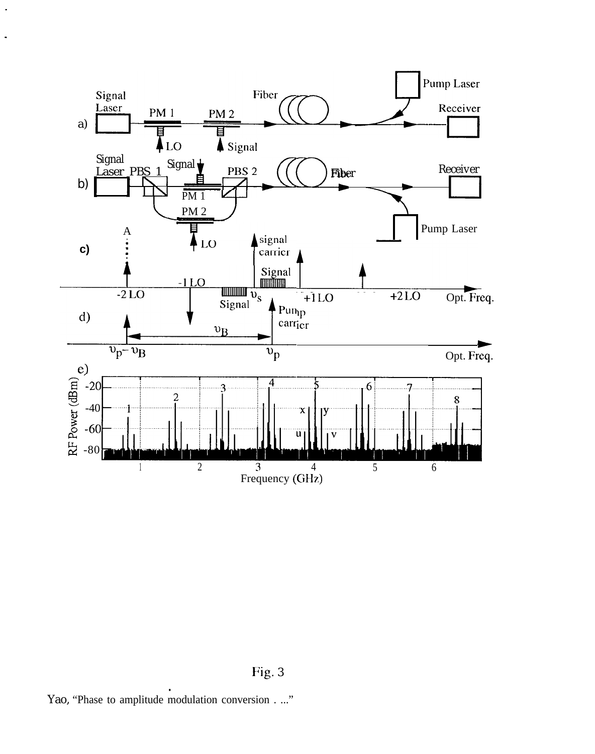

Fig. 3

 $\ddot{\phantom{a}}$